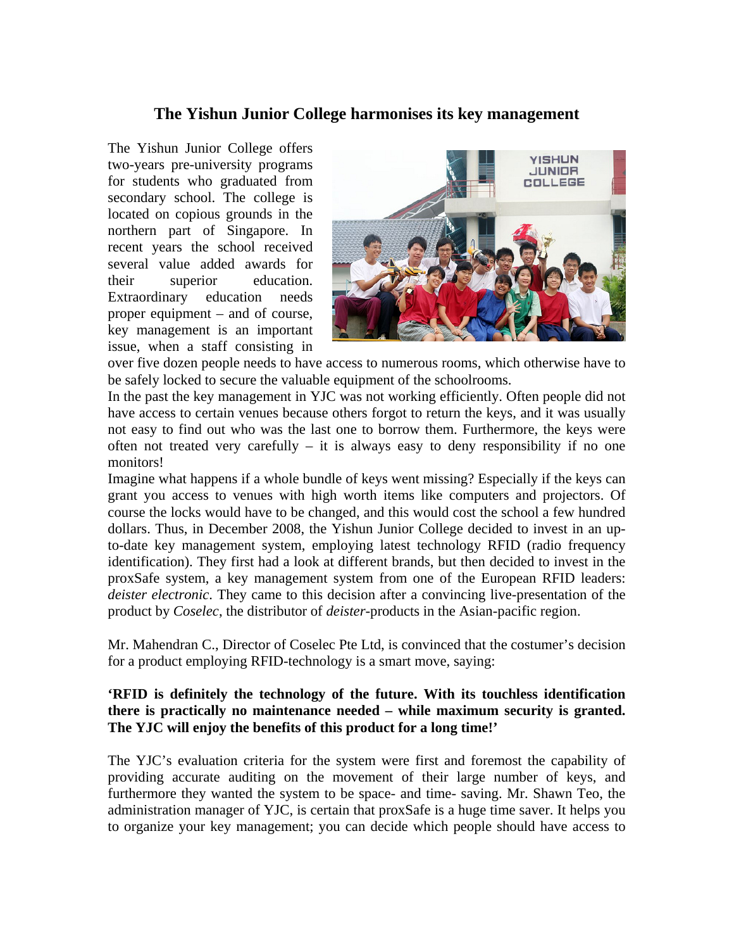## **The Yishun Junior College harmonises its key management**

The Yishun Junior College offers two-years pre-university programs for students who graduated from secondary school. The college is located on copious grounds in the northern part of Singapore. In recent years the school received several value added awards for their superior education. Extraordinary education needs proper equipment – and of course, key management is an important issue, when a staff consisting in



over five dozen people needs to have access to numerous rooms, which otherwise have to be safely locked to secure the valuable equipment of the schoolrooms.

In the past the key management in YJC was not working efficiently. Often people did not have access to certain venues because others forgot to return the keys, and it was usually not easy to find out who was the last one to borrow them. Furthermore, the keys were often not treated very carefully  $-$  it is always easy to deny responsibility if no one monitors!

Imagine what happens if a whole bundle of keys went missing? Especially if the keys can grant you access to venues with high worth items like computers and projectors. Of course the locks would have to be changed, and this would cost the school a few hundred dollars. Thus, in December 2008, the Yishun Junior College decided to invest in an upto-date key management system, employing latest technology RFID (radio frequency identification). They first had a look at different brands, but then decided to invest in the proxSafe system, a key management system from one of the European RFID leaders: *deister electronic*. They came to this decision after a convincing live-presentation of the product by *Coselec*, the distributor of *deister*-products in the Asian-pacific region.

Mr. Mahendran C., Director of Coselec Pte Ltd, is convinced that the costumer's decision for a product employing RFID-technology is a smart move, saying:

## **'RFID is definitely the technology of the future. With its touchless identification there is practically no maintenance needed – while maximum security is granted. The YJC will enjoy the benefits of this product for a long time!'**

The YJC's evaluation criteria for the system were first and foremost the capability of providing accurate auditing on the movement of their large number of keys, and furthermore they wanted the system to be space- and time- saving. Mr. Shawn Teo, the administration manager of YJC, is certain that proxSafe is a huge time saver. It helps you to organize your key management; you can decide which people should have access to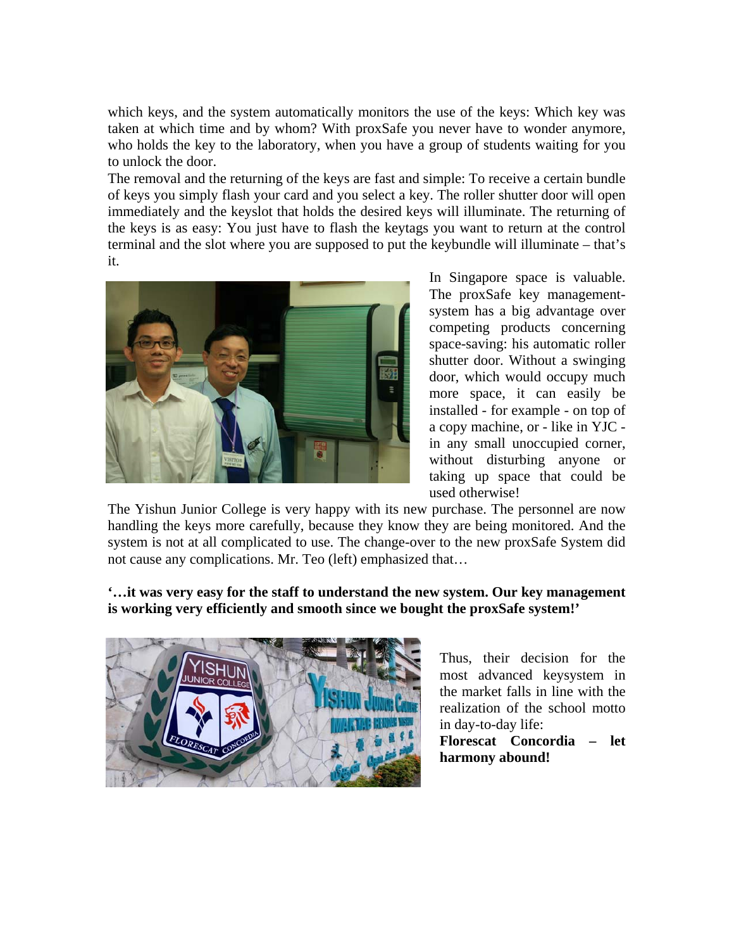which keys, and the system automatically monitors the use of the keys: Which key was taken at which time and by whom? With proxSafe you never have to wonder anymore, who holds the key to the laboratory, when you have a group of students waiting for you to unlock the door.

The removal and the returning of the keys are fast and simple: To receive a certain bundle of keys you simply flash your card and you select a key. The roller shutter door will open immediately and the keyslot that holds the desired keys will illuminate. The returning of the keys is as easy: You just have to flash the keytags you want to return at the control terminal and the slot where you are supposed to put the keybundle will illuminate – that's it.



In Singapore space is valuable. The proxSafe key managementsystem has a big advantage over competing products concerning space-saving: his automatic roller shutter door. Without a swinging door, which would occupy much more space, it can easily be installed - for example - on top of a copy machine, or - like in YJC in any small unoccupied corner, without disturbing anyone or taking up space that could be used otherwise!

The Yishun Junior College is very happy with its new purchase. The personnel are now handling the keys more carefully, because they know they are being monitored. And the system is not at all complicated to use. The change-over to the new proxSafe System did not cause any complications. Mr. Teo (left) emphasized that…

**'…it was very easy for the staff to understand the new system. Our key management is working very efficiently and smooth since we bought the proxSafe system!'** 



Thus, their decision for the most advanced keysystem in the market falls in line with the realization of the school motto in day-to-day life:

**Florescat Concordia – let harmony abound!**